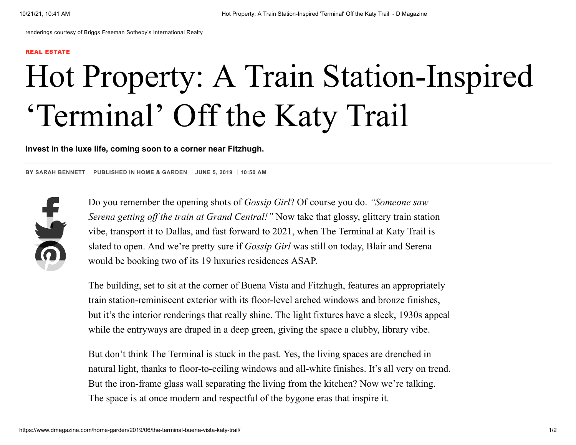renderings courtesy of Briggs Freeman Sotheby's International Realty

## REAL [ESTATE](https://www.dmagazine.com/category/real-estate/?ref=kicker)

## Hot Property: A Train Station-Inspired 'Terminal' Off the Katy Trail

**Invest in the luxe life, coming soon to a corner near Fitzhugh.**

**BY SARAH BENNETT PUBLISHED IN HOME & [GARDEN](https://www.dmagazine.com/section/home-garden/) JUNE 5, 2019 10:50 AM**



Do you remember the opening shots of *Gossip Girl*? Of course you do. *"Someone saw Serena getting off the train at Grand Central!"* Now take that glossy, glittery train station vibe, transport it to Dallas, and fast forward to 2021, when [The Terminal at Katy Trail](https://www.briggsfreeman.com/highrises/the-terminal-at-katy-trail-4205-buena-vista-street-dallas-texas-75205) is slated to open. And we're pretty sure if *Gossip Girl* was still on today, Blair and Serena would be booking two of its 19 luxuries residences ASAP.

The building, set to sit at the corner of Buena Vista and Fitzhugh, features an appropriately train station-reminiscent exterior with its floor-level arched windows and bronze finishes, but it's the interior renderings that really shine. The light fixtures have a sleek, 1930s appeal while the entryways are draped in a deep green, giving the space a clubby, library vibe.

But don't think The Terminal is stuck in the past. Yes, the living spaces are drenched in natural light, thanks to floor-to-ceiling windows and all-white finishes. It's all very on trend. But the iron-frame glass wall separating the living from the kitchen? Now we're talking. The space is at once modern and respectful of the bygone eras that inspire it.